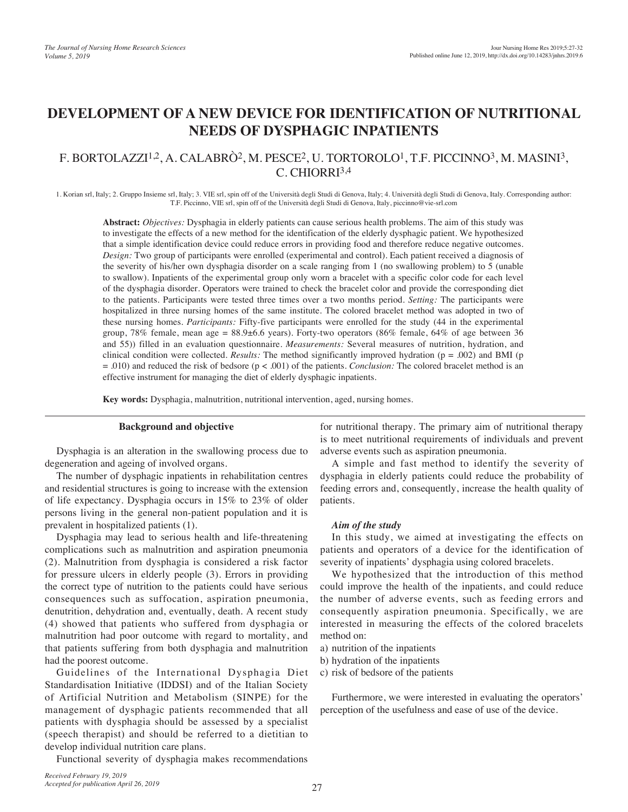# **DEVELOPMENT OF A NEW DEVICE FOR IDENTIFICATION OF NUTRITIONAL NEEDS OF DYSPHAGIC INPATIENTS**

## F. BORTOLAZZI<sup>1,2</sup>, A. CALABRÒ<sup>2</sup>, M. PESCE<sup>2</sup>, U. TORTOROLO<sup>1</sup>, T.F. PICCINNO<sup>3</sup>, M. MASINI<sup>3</sup>, C. CHIORRI3,4

1. Korian srl, Italy; 2. Gruppo Insieme srl, Italy; 3. VIE srl, spin off of the Università degli Studi di Genova, Italy; 4. Università degli Studi di Genova, Italy. Corresponding author: T.F. Piccinno, VIE srl, spin off of the Università degli Studi di Genova, Italy, piccinno@vie-srl.com

**Abstract:** *Objectives:* Dysphagia in elderly patients can cause serious health problems. The aim of this study was to investigate the effects of a new method for the identification of the elderly dysphagic patient. We hypothesized that a simple identification device could reduce errors in providing food and therefore reduce negative outcomes. *Design:* Two group of participants were enrolled (experimental and control). Each patient received a diagnosis of the severity of his/her own dysphagia disorder on a scale ranging from 1 (no swallowing problem) to 5 (unable to swallow). Inpatients of the experimental group only worn a bracelet with a specific color code for each level of the dysphagia disorder. Operators were trained to check the bracelet color and provide the corresponding diet to the patients. Participants were tested three times over a two months period. *Setting:* The participants were hospitalized in three nursing homes of the same institute. The colored bracelet method was adopted in two of these nursing homes. *Participants:* Fifty-five participants were enrolled for the study (44 in the experimental group, 78% female, mean age =  $88.9\pm6.6$  years). Forty-two operators (86% female, 64% of age between 36 and 55)) filled in an evaluation questionnaire. *Measurements:* Several measures of nutrition, hydration, and clinical condition were collected. *Results:* The method significantly improved hydration (p = .002) and BMI (p = .010) and reduced the risk of bedsore (p < .001) of the patients. *Conclusion:* The colored bracelet method is an effective instrument for managing the diet of elderly dysphagic inpatients.

**Key words:** Dysphagia, malnutrition, nutritional intervention, aged, nursing homes.

#### **Background and objective**

Dysphagia is an alteration in the swallowing process due to degeneration and ageing of involved organs.

The number of dysphagic inpatients in rehabilitation centres and residential structures is going to increase with the extension of life expectancy. Dysphagia occurs in 15% to 23% of older persons living in the general non-patient population and it is prevalent in hospitalized patients (1).

Dysphagia may lead to serious health and life-threatening complications such as malnutrition and aspiration pneumonia (2). Malnutrition from dysphagia is considered a risk factor for pressure ulcers in elderly people (3). Errors in providing the correct type of nutrition to the patients could have serious consequences such as suffocation, aspiration pneumonia, denutrition, dehydration and, eventually, death. A recent study (4) showed that patients who suffered from dysphagia or malnutrition had poor outcome with regard to mortality, and that patients suffering from both dysphagia and malnutrition had the poorest outcome.

Guidelines of the International Dysphagia Diet Standardisation Initiative (IDDSI) and of the Italian Society of Artificial Nutrition and Metabolism (SINPE) for the management of dysphagic patients recommended that all patients with dysphagia should be assessed by a specialist (speech therapist) and should be referred to a dietitian to develop individual nutrition care plans.

Functional severity of dysphagia makes recommendations

for nutritional therapy. The primary aim of nutritional therapy is to meet nutritional requirements of individuals and prevent adverse events such as aspiration pneumonia.

A simple and fast method to identify the severity of dysphagia in elderly patients could reduce the probability of feeding errors and, consequently, increase the health quality of patients.

#### *Aim of the study*

In this study, we aimed at investigating the effects on patients and operators of a device for the identification of severity of inpatients' dysphagia using colored bracelets.

We hypothesized that the introduction of this method could improve the health of the inpatients, and could reduce the number of adverse events, such as feeding errors and consequently aspiration pneumonia. Specifically, we are interested in measuring the effects of the colored bracelets method on:

- a) nutrition of the inpatients
- b) hydration of the inpatients
- c) risk of bedsore of the patients

Furthermore, we were interested in evaluating the operators' perception of the usefulness and ease of use of the device.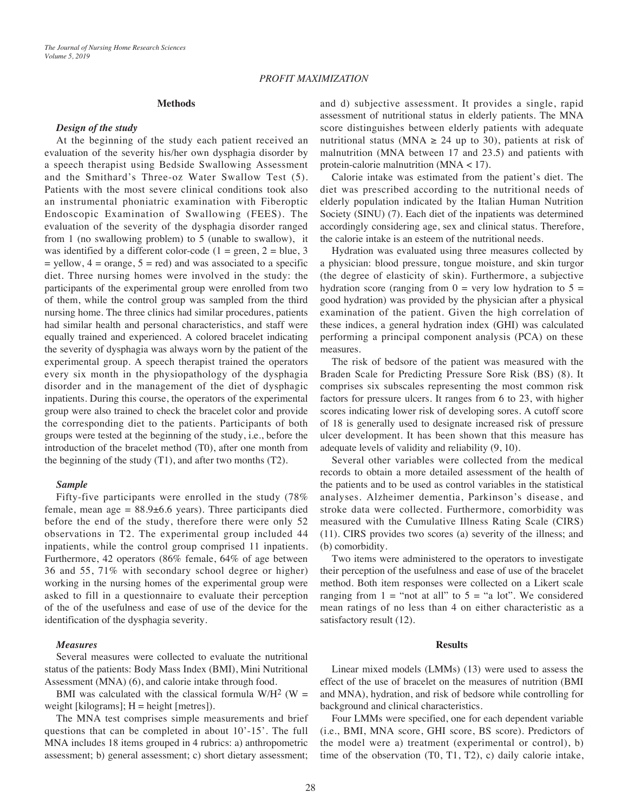#### **Methods**

#### *Design of the study*

At the beginning of the study each patient received an evaluation of the severity his/her own dysphagia disorder by a speech therapist using Bedside Swallowing Assessment and the Smithard's Three-oz Water Swallow Test (5). Patients with the most severe clinical conditions took also an instrumental phoniatric examination with Fiberoptic Endoscopic Examination of Swallowing (FEES). The evaluation of the severity of the dysphagia disorder ranged from 1 (no swallowing problem) to 5 (unable to swallow), it was identified by a different color-code ( $1 = \text{green}, 2 = \text{blue}, 3$ )  $=$  yellow,  $4 =$  orange,  $5 =$  red) and was associated to a specific diet. Three nursing homes were involved in the study: the participants of the experimental group were enrolled from two of them, while the control group was sampled from the third nursing home. The three clinics had similar procedures, patients had similar health and personal characteristics, and staff were equally trained and experienced. A colored bracelet indicating the severity of dysphagia was always worn by the patient of the experimental group. A speech therapist trained the operators every six month in the physiopathology of the dysphagia disorder and in the management of the diet of dysphagic inpatients. During this course, the operators of the experimental group were also trained to check the bracelet color and provide the corresponding diet to the patients. Participants of both groups were tested at the beginning of the study, i.e., before the introduction of the bracelet method (T0), after one month from the beginning of the study (T1), and after two months (T2).

#### *Sample*

Fifty-five participants were enrolled in the study (78% female, mean age =  $88.9 \pm 6.6$  years). Three participants died before the end of the study, therefore there were only 52 observations in T2. The experimental group included 44 inpatients, while the control group comprised 11 inpatients. Furthermore, 42 operators (86% female, 64% of age between 36 and 55, 71% with secondary school degree or higher) working in the nursing homes of the experimental group were asked to fill in a questionnaire to evaluate their perception of the of the usefulness and ease of use of the device for the identification of the dysphagia severity.

#### *Measures*

Several measures were collected to evaluate the nutritional status of the patients: Body Mass Index (BMI), Mini Nutritional Assessment (MNA) (6), and calorie intake through food.

BMI was calculated with the classical formula  $W/H^2$  (W = weight [kilograms];  $H = height$  [metres]).

The MNA test comprises simple measurements and brief questions that can be completed in about 10'-15'. The full MNA includes 18 items grouped in 4 rubrics: a) anthropometric assessment; b) general assessment; c) short dietary assessment;

and d) subjective assessment. It provides a single, rapid assessment of nutritional status in elderly patients. The MNA score distinguishes between elderly patients with adequate nutritional status (MNA  $\geq$  24 up to 30), patients at risk of malnutrition (MNA between 17 and 23.5) and patients with protein-calorie malnutrition (MNA < 17).

Calorie intake was estimated from the patient's diet. The diet was prescribed according to the nutritional needs of elderly population indicated by the Italian Human Nutrition Society (SINU) (7). Each diet of the inpatients was determined accordingly considering age, sex and clinical status. Therefore, the calorie intake is an esteem of the nutritional needs.

Hydration was evaluated using three measures collected by a physician: blood pressure, tongue moisture, and skin turgor (the degree of elasticity of skin). Furthermore, a subjective hydration score (ranging from  $0 = \text{very low hydration to } 5 =$ good hydration) was provided by the physician after a physical examination of the patient. Given the high correlation of these indices, a general hydration index (GHI) was calculated performing a principal component analysis (PCA) on these measures.

The risk of bedsore of the patient was measured with the Braden Scale for Predicting Pressure Sore Risk (BS) (8). It comprises six subscales representing the most common risk factors for pressure ulcers. It ranges from 6 to 23, with higher scores indicating lower risk of developing sores. A cutoff score of 18 is generally used to designate increased risk of pressure ulcer development. It has been shown that this measure has adequate levels of validity and reliability (9, 10).

Several other variables were collected from the medical records to obtain a more detailed assessment of the health of the patients and to be used as control variables in the statistical analyses. Alzheimer dementia, Parkinson's disease, and stroke data were collected. Furthermore, comorbidity was measured with the Cumulative Illness Rating Scale (CIRS) (11). CIRS provides two scores (a) severity of the illness; and (b) comorbidity.

Two items were administered to the operators to investigate their perception of the usefulness and ease of use of the bracelet method. Both item responses were collected on a Likert scale ranging from  $1 =$  "not at all" to  $5 =$  "a lot". We considered mean ratings of no less than 4 on either characteristic as a satisfactory result (12).

#### **Results**

Linear mixed models (LMMs) (13) were used to assess the effect of the use of bracelet on the measures of nutrition (BMI and MNA), hydration, and risk of bedsore while controlling for background and clinical characteristics.

Four LMMs were specified, one for each dependent variable (i.e., BMI, MNA score, GHI score, BS score). Predictors of the model were a) treatment (experimental or control), b) time of the observation (T0, T1, T2), c) daily calorie intake,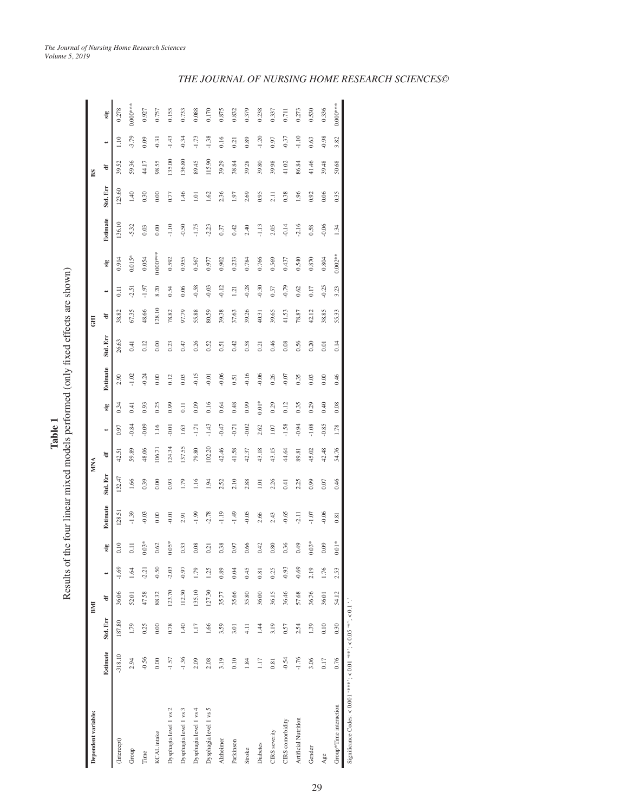| Dependent variable:                                               |                 |          | BMI    |         |                  |          |          | MNA    |         |                  |          |          | <b>H</b> O |                    |            |          |          | BS.    |         |            |
|-------------------------------------------------------------------|-----------------|----------|--------|---------|------------------|----------|----------|--------|---------|------------------|----------|----------|------------|--------------------|------------|----------|----------|--------|---------|------------|
|                                                                   | Estimate        | Std. Err | ਚ      |         | sig              | Estimate | Std. Err | ਚ      | ÷       | sig              | Estimate | Std. Err | ਚ          | ÷                  | sig        | Estimate | Std. Err | ਚ      | ÷       | sig        |
| (Intercept)                                                       | $-318.10$       | 187.80   | 36.06  | $-1.69$ | 0.10             | 128.51   | [32.47]  | 42.51  | 0.97    | 0.34             | 2.90     | 26.63    | 38.82      | $\overline{0}$ .11 | 0.914      | 136.10   | 123.60   | 39.52  | 1.10    | 0.278      |
| Group                                                             | 2.94            | 1.79     | 52.01  | 1.64    | $\overline{0}$ . | $-1.39$  | 1.66     | 59.89  | $-0.84$ | 0.41             | $-1.02$  | 0.41     | 67.35      | 2.51               | $0.015*$   | $-5.32$  | 1.40     | 59.36  | $-3.79$ | $0.000***$ |
| Time                                                              | $-0.56$         | 0.25     | 47.58  | $-2.21$ | $0.03*$          | $-0.03$  | 0.39     | 48.06  | 0.09    | 0.93             | $-0.24$  | 0.12     | 48.66      | $-1.97$            | 0.054      | 0.03     | 0.30     | 44.17  | 0.09    | 0.927      |
| KCAL intake                                                       | 0.00            | 0.00     | 88.32  | $-0.50$ | 0.62             | 0.00     | 0.00     | 106.71 | 1.16    | 0.25             | 0.00     | 0.00     | 128.10     | 8.20               | $0.000***$ | 0.00     | 0.00     | 98.55  | $-0.31$ | 0.757      |
| Dysphagia level 1 vs 2                                            | $-1.57$         | 0.78     | 123.70 | $-2.03$ | $0.05*$          | 0.01     | 0.93     | 124.34 | $-0.01$ | 0.99             | 0.12     | 0.23     | 78.82      | 0.54               | 0.592      | $-1.10$  | 0.77     | 135.00 | $-1.43$ | 0.155      |
| Dysphagia level 1 vs 3                                            | $-1.36$         | 1.40     | 112.30 | -0.97   | 0.33             | 2.91     | 1.79     | 137.55 | 1.63    | $\overline{0}$ . | 0.03     | 0.47     | 97.79      | 0.06               | 0.955      | $-0.50$  | 1.46     | 136.80 | 0.34    | 0.733      |
| Dysphagia level 1 vs 4                                            | 2.09            | 1.17     | 135.10 | 1.79    | 0.08             | $-1.99$  | 1.16     | 79.80  | $-1.71$ | 0.09             | $-0.15$  | 0.26     | 55.88      | $-0.58$            | 0.567      | $-1.75$  | 1.01     | 89.45  | $-1.73$ | 0.088      |
| Dysphagia level 1 vs 5                                            | 2.08            | 1.66     | 127.30 | 1.25    | 0.21             | 2.78     | 1.94     | 102.20 | $-1.43$ | 0.16             | $-0.01$  | 0.52     | 80.59      | $-0.03$            | 0.977      | $-2.23$  | 1.62     | 115.90 | $-1.38$ | 0.170      |
| Alzheimer                                                         | 3.19            | 3.59     | 35.77  | 0.89    | 0.38             | $-1.19$  | 2.52     | 42.46  | $-0.47$ | 0.64             | $-0.06$  | 0.51     | 39.38      | $-0.12$            | 0.902      | 0.37     | 2.36     | 39.29  | 0.16    | 0.875      |
| Parkinson                                                         | 0.10            | 3.01     | 35.66  | 0.04    | 0.97             | $-1.49$  | 2.10     | 41.58  | $-0.71$ | 0.48             | 0.51     | 0.42     | 37.63      | 1.21               | 0.233      | 0.42     | 1.97     | 38.84  | 0.21    | 0.832      |
| Stroke                                                            | 1.84            | 4.11     | 35.80  | 0.45    | 0.66             | $-0.05$  | 2.88     | 42.37  | $-0.02$ | 0.99             | $-0.16$  | 0.58     | 39.26      | $-0.28$            | 0.784      | 2.40     | 2.69     | 39.28  | 0.89    | 0.379      |
| Diabetes                                                          | LU <sub>7</sub> | 1.44     | 36.00  | 0.81    | 0.42             | 2.66     | 1.01     | 43.18  | 2.62    | $0.01*$          | $-0.06$  | 0.21     | 40.31      | $-0.30$            | 0.766      | $-1.13$  | 0.95     | 39.80  | $-1.20$ | 0.238      |
| CIRS severity                                                     | 0.81            | 3.19     | 36.15  | 0.25    | 0.80             | 2.43     | 2.26     | 43.15  | 1.07    | 0.29             | 0.26     | 0.46     | 39.65      | 0.57               | 0.569      | 2.05     | 2.11     | 39.98  | 0.97    | 0.337      |
| CIRS comorbidity                                                  | $-0.54$         | 0.57     | 36.46  | $-0.93$ | 0.36             | $-0.65$  | 0.41     | 44.64  | $-1.58$ | 0.12             | $-0.07$  | 0.08     | 41.53      | $-0.79$            | 0.437      | $-0.14$  | 0.38     | 41.02  | $-0.37$ | 0.711      |
| <b>Artificial Nutrition</b>                                       | $-1.76$         | 2.54     | 57.68  | $-0.69$ | 64.0             | 2.11     | 2.25     | 89.81  | $-0.94$ | 0.35             | 0.35     | 0.56     | 78.87      | 0.62               | 0.540      | $-2.16$  | 1.96     | 86.84  | $-1.10$ | 0.273      |
| Gender                                                            | 3.06            | 1.39     | 36.76  | 2.19    | $0.03*$          | $-1.07$  | 0.99     | 45.02  | $-1.08$ | 0.29             | 0.03     | 0.20     | 42.12      | 0.17               | 0.870      | 0.58     | 0.92     | 41.46  | 0.63    | 0.530      |
| Age                                                               | 0.17            | 0.10     | 36.01  | 1.76    | 0.09             | $-0.06$  | 0.07     | 42.48  | $-0.85$ | 0.40             | 0.00     | 0.01     | 38.85      | $-0.25$            | 0.804      | $-0.06$  | 0.06     | 39.48  | $-0.98$ | 0.336      |
| Group*Time interaction                                            | 0.76            | 0.30     | 54.12  | 2.53    | $0.01*$          | 0.81     | 0.46     | 54.76  | 1.78    | 0.08             | 0.46     | 0.14     | 55.33      | 3.23               | $0.002**$  | 1.34     | 0.35     | 50.68  | 3.82    | $0.000***$ |
| Significance Codes: <0.001 '***'; <0.01 '**'; <0.05 '*'; <0.1 '.' |                 |          |        |         |                  |          |          |        |         |                  |          |          |            |                    |            |          |          |        |         |            |

Table 1 Results of the four linear mixed models performed (only fixed effects are shown) Results of the four linear mixed models performed (only fixed effects are shown)

*The Journal of Nursing Home Research Sciences*

*Volume 5, 2019*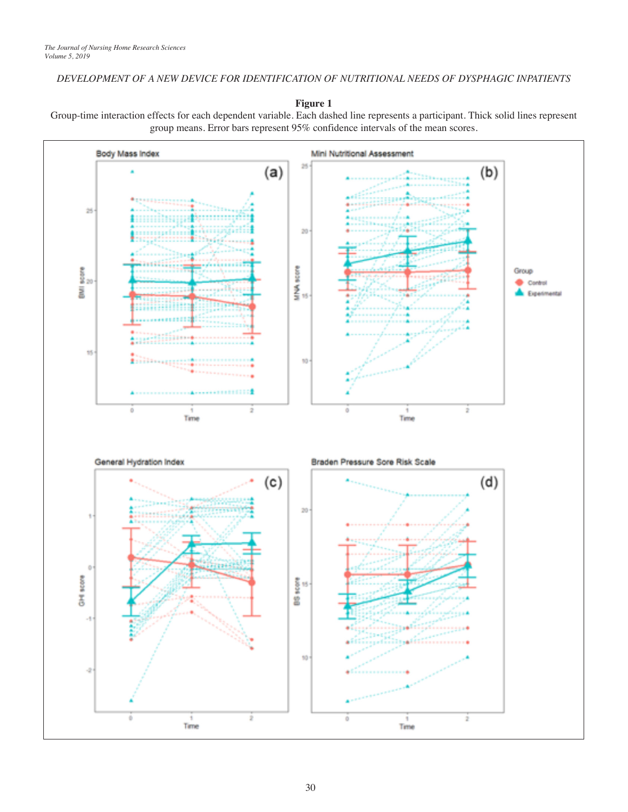### *DEVELOPMENT OF A NEW DEVICE FOR IDENTIFICATION OF NUTRITIONAL NEEDS OF DYSPHAGIC INPATIENTS*

**Figure 1**

Group-time interaction effects for each dependent variable. Each dashed line represents a participant. Thick solid lines represent group means. Error bars represent 95% confidence intervals of the mean scores.

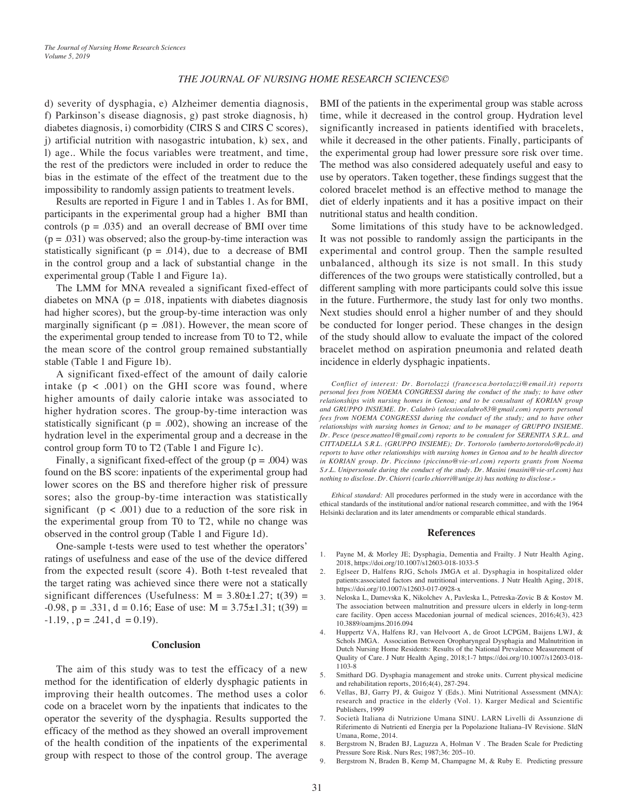#### *THE JOURNAL OF NURSING HOME RESEARCH SCIENCES©*

d) severity of dysphagia, e) Alzheimer dementia diagnosis, f) Parkinson's disease diagnosis, g) past stroke diagnosis, h) diabetes diagnosis, i) comorbidity (CIRS S and CIRS C scores), j) artificial nutrition with nasogastric intubation, k) sex, and l) age.. While the focus variables were treatment, and time, the rest of the predictors were included in order to reduce the bias in the estimate of the effect of the treatment due to the impossibility to randomly assign patients to treatment levels.

Results are reported in Figure 1 and in Tables 1. As for BMI, participants in the experimental group had a higher BMI than controls ( $p = .035$ ) and an overall decrease of BMI over time  $(p = .031)$  was observed; also the group-by-time interaction was statistically significant ( $p = .014$ ), due to a decrease of BMI in the control group and a lack of substantial change in the experimental group (Table 1 and Figure 1a).

The LMM for MNA revealed a significant fixed-effect of diabetes on MNA ( $p = .018$ , inpatients with diabetes diagnosis had higher scores), but the group-by-time interaction was only marginally significant ( $p = .081$ ). However, the mean score of the experimental group tended to increase from T0 to T2, while the mean score of the control group remained substantially stable (Table 1 and Figure 1b).

A significant fixed-effect of the amount of daily calorie intake  $(p < .001)$  on the GHI score was found, where higher amounts of daily calorie intake was associated to higher hydration scores. The group-by-time interaction was statistically significant ( $p = .002$ ), showing an increase of the hydration level in the experimental group and a decrease in the control group form T0 to T2 (Table 1 and Figure 1c).

Finally, a significant fixed-effect of the group ( $p = .004$ ) was found on the BS score: inpatients of the experimental group had lower scores on the BS and therefore higher risk of pressure sores; also the group-by-time interaction was statistically significant ( $p < .001$ ) due to a reduction of the sore risk in the experimental group from T0 to T2, while no change was observed in the control group (Table 1 and Figure 1d).

One-sample t-tests were used to test whether the operators' ratings of usefulness and ease of the use of the device differed from the expected result (score 4). Both t-test revealed that the target rating was achieved since there were not a statically significant differences (Usefulness:  $M = 3.80 \pm 1.27$ ; t(39) =  $-0.98$ , p = .331, d = 0.16; Ease of use: M = 3.75 $\pm$ 1.31; t(39) =  $-1.19$ ,  $p = .241$ ,  $d = 0.19$ ).

#### **Conclusion**

The aim of this study was to test the efficacy of a new method for the identification of elderly dysphagic patients in improving their health outcomes. The method uses a color code on a bracelet worn by the inpatients that indicates to the operator the severity of the dysphagia. Results supported the efficacy of the method as they showed an overall improvement of the health condition of the inpatients of the experimental group with respect to those of the control group. The average BMI of the patients in the experimental group was stable across time, while it decreased in the control group. Hydration level significantly increased in patients identified with bracelets, while it decreased in the other patients. Finally, participants of the experimental group had lower pressure sore risk over time. The method was also considered adequately useful and easy to use by operators. Taken together, these findings suggest that the colored bracelet method is an effective method to manage the diet of elderly inpatients and it has a positive impact on their nutritional status and health condition.

Some limitations of this study have to be acknowledged. It was not possible to randomly assign the participants in the experimental and control group. Then the sample resulted unbalanced, although its size is not small. In this study differences of the two groups were statistically controlled, but a different sampling with more participants could solve this issue in the future. Furthermore, the study last for only two months. Next studies should enrol a higher number of and they should be conducted for longer period. These changes in the design of the study should allow to evaluate the impact of the colored bracelet method on aspiration pneumonia and related death incidence in elderly dysphagic inpatients.

*Conflict of interest: Dr. Bortolazzi (francesca.bortolazzi@email.it) reports personal fees from NOEMA CONGRESSI during the conduct of the study; to have other relationships with nursing homes in Genoa; and to be consultant of KORIAN group and GRUPPO INSIEME. Dr. Calabrò (alessiocalabro83@gmail.com) reports personal fees from NOEMA CONGRESSI during the conduct of the study; and to have other relationships with nursing homes in Genoa; and to be manager of GRUPPO INSIEME. Dr. Pesce (pesce.matteo1@gmail.com) reports to be consulent for SERENITA S.R.L. and CITTADELLA S.R.L. (GRUPPO INSIEME); Dr. Tortorolo (umberto.tortorolo@pcdo.it) reports to have other relationships with nursing homes in Genoa and to be health director in KORIAN group. Dr. Piccinno (piccinno@vie-srl.com) reports grants from Noema S.r.L. Unipersonale during the conduct of the study. Dr. Masini (masini@vie-srl.com) has nothing to disclose. Dr. Chiorri (carlo.chiorri@unige.it) has nothing to disclose.»*

*Ethical standard:* All procedures performed in the study were in accordance with the ethical standards of the institutional and/or national research committee, and with the 1964 Helsinki declaration and its later amendments or comparable ethical standards.

#### **References**

- 1. Payne M, & Morley JE; Dysphagia, Dementia and Frailty. J Nutr Health Aging, 2018, https://doi.org/10.1007/s12603-018-1033-5
- 2. Eglseer D, Halfens RJG, Schols JMGA et al. Dysphagia in hospitalized older patients:associated factors and nutritional interventions. J Nutr Health Aging, 2018, https://doi.org/10.1007/s12603-017-0928-x
- 3. Neloska L, Damevska K, Nikolchev A, Pavleska L, Petreska-Zovic B & Kostov M. The association between malnutrition and pressure ulcers in elderly in long-term care facility. Open access Macedonian journal of medical sciences, 2016;4(3), 423 10.3889/oamjms.2016.094
- 4. Huppertz VA, Halfens RJ, van Helvoort A, de Groot LCPGM, Baijens LWJ, & Schols JMGA. Association Between Oropharyngeal Dysphagia and Malnutrition in Dutch Nursing Home Residents: Results of the National Prevalence Measurement of Quality of Care. J Nutr Health Aging, 2018;1-7 https://doi.org/10.1007/s12603-018- 1103-8
- 5. Smithard DG. Dysphagia management and stroke units. Current physical medicine and rehabilitation reports, 2016;4(4), 287-294.
- 6. Vellas, BJ, Garry PJ, & Guigoz Y (Eds.). Mini Nutritional Assessment (MNA): research and practice in the elderly (Vol. 1). Karger Medical and Scientific Publishers, 1999
- 7. Società Italiana di Nutrizione Umana SINU. LARN Livelli di Assunzione di Riferimento di Nutrienti ed Energia per la Popolazione Italiana–IV Revisione. SIdN Umana, Rome, 2014.
- 8. Bergstrom N, Braden BJ, Laguzza A, Holman V . The Braden Scale for Predicting Pressure Sore Risk. Nurs Res; 1987;36: 205–10.
- 9. Bergstrom N, Braden B, Kemp M, Champagne M, & Ruby E. Predicting pressure